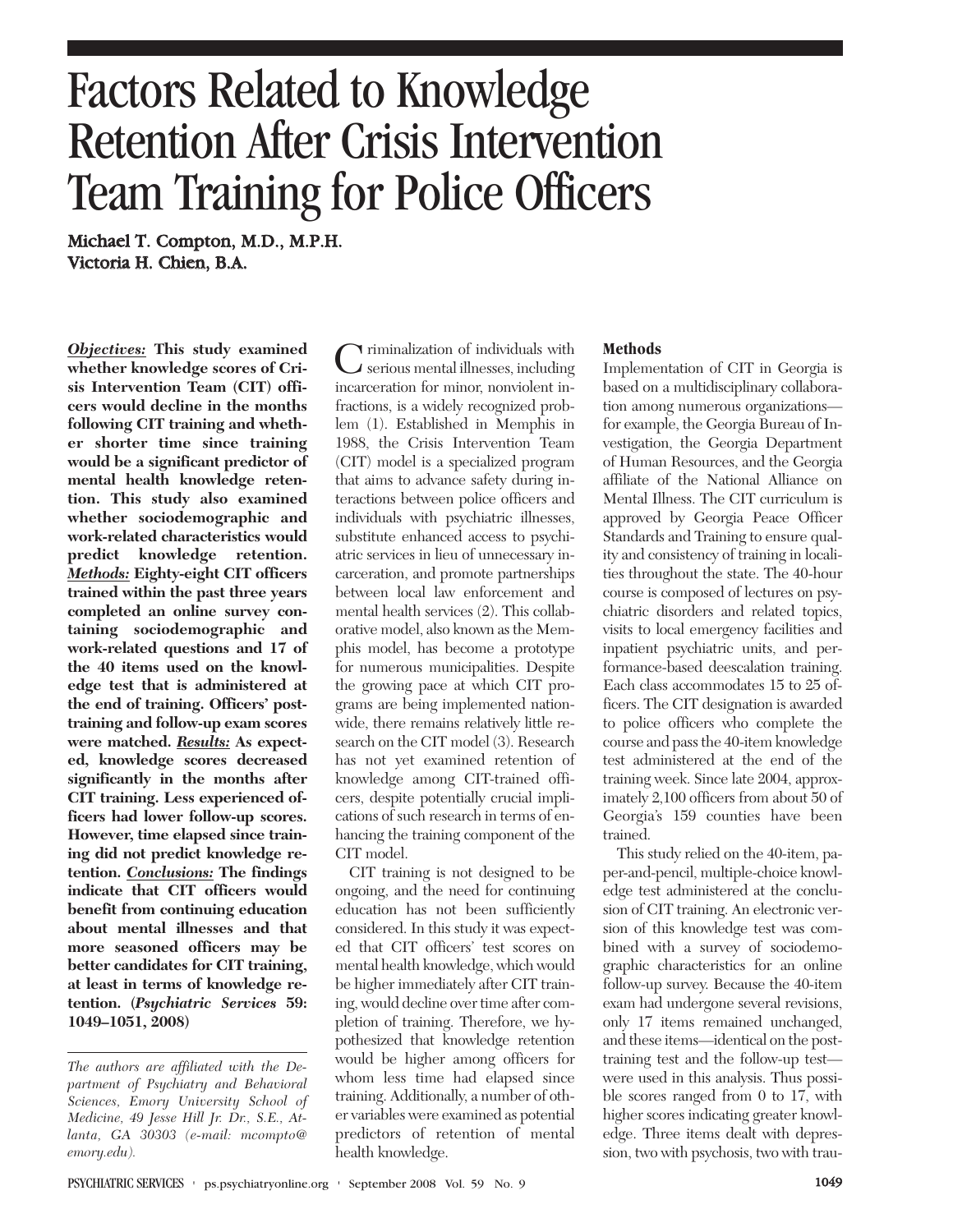# Factors Related to Knowledge Retention After Crisis Intervention Team Training for Police Officers

Michael T. Compton, M.D., M.P.H. Victoria H. Chien, B.A.

*Objectives:* **This study examined whether knowledge scores of Crisis Intervention Team (CIT) officers would decline in the months following CIT training and whether shorter time since training would be a significant predictor of mental health knowledge retention. This study also examined whether sociodemographic and work-related characteristics would predict knowledge retention.** *Methods:* **Eighty-eight CIT officers trained within the past three years completed an online survey containing sociodemographic and work-related questions and 17 of the 40 items used on the knowledge test that is administered at the end of training. Officers' posttraining and follow-up exam scores were matched.** *Results:* **As expected, knowledge scores decreased significantly in the months after CIT training. Less experienced officers had lower follow-up scores. However, time elapsed since training did not predict knowledge retention.** *Conclusions:* **The findings indicate that CIT officers would benefit from continuing education about mental illnesses and that more seasoned officers may be better candidates for CIT training, at least in terms of knowledge retention. (***Psychiatric Services* **59: 1049–1051, 2008)**

Criminalization of individuals with serious mental illnesses, including incarceration for minor, nonviolent infractions, is a widely recognized problem (1). Established in Memphis in 1988, the Crisis Intervention Team (CIT) model is a specialized program that aims to advance safety during interactions between police officers and individuals with psychiatric illnesses, substitute enhanced access to psychiatric services in lieu of unnecessary incarceration, and promote partnerships between local law enforcement and mental health services (2). This collaborative model, also known as the Memphis model, has become a prototype for numerous municipalities. Despite the growing pace at which CIT programs are being implemented nationwide, there remains relatively little research on the CIT model (3). Research has not yet examined retention of knowledge among CIT-trained officers, despite potentially crucial implications of such research in terms of enhancing the training component of the CIT model.

CIT training is not designed to be ongoing, and the need for continuing education has not been sufficiently considered. In this study it was expected that CIT officers' test scores on mental health knowledge, which would be higher immediately after CIT training, would decline over time after completion of training. Therefore, we hypothesized that knowledge retention would be higher among officers for whom less time had elapsed since training. Additionally, a number of other variables were examined as potential predictors of retention of mental health knowledge.

#### **Methods**

Implementation of CIT in Georgia is based on a multidisciplinary collaboration among numerous organizations for example, the Georgia Bureau of Investigation, the Georgia Department of Human Resources, and the Georgia affiliate of the National Alliance on Mental Illness. The CIT curriculum is approved by Georgia Peace Officer Standards and Training to ensure quality and consistency of training in localities throughout the state. The 40-hour course is composed of lectures on psychiatric disorders and related topics, visits to local emergency facilities and inpatient psychiatric units, and performance-based deescalation training. Each class accommodates 15 to 25 officers. The CIT designation is awarded to police officers who complete the course and pass the 40-item knowledge test administered at the end of the training week. Since late 2004, approximately 2,100 officers from about 50 of Georgia's 159 counties have been trained.

This study relied on the 40-item, paper-and-pencil, multiple-choice knowledge test administered at the conclusion of CIT training. An electronic version of this knowledge test was combined with a survey of sociodemographic characteristics for an online follow-up survey. Because the 40-item exam had undergone several revisions, only 17 items remained unchanged, and these items—identical on the posttraining test and the follow-up test were used in this analysis. Thus possible scores ranged from 0 to 17, with higher scores indicating greater knowledge. Three items dealt with depression, two with psychosis, two with trau-

*The authors are affiliated with the Department of Psychiatry and Behavioral Sciences, Emory University School of Medicine, 49 Jesse Hill Jr. Dr., S.E., Atlanta, GA 30303 (e-mail: mcompto@ emory.edu).*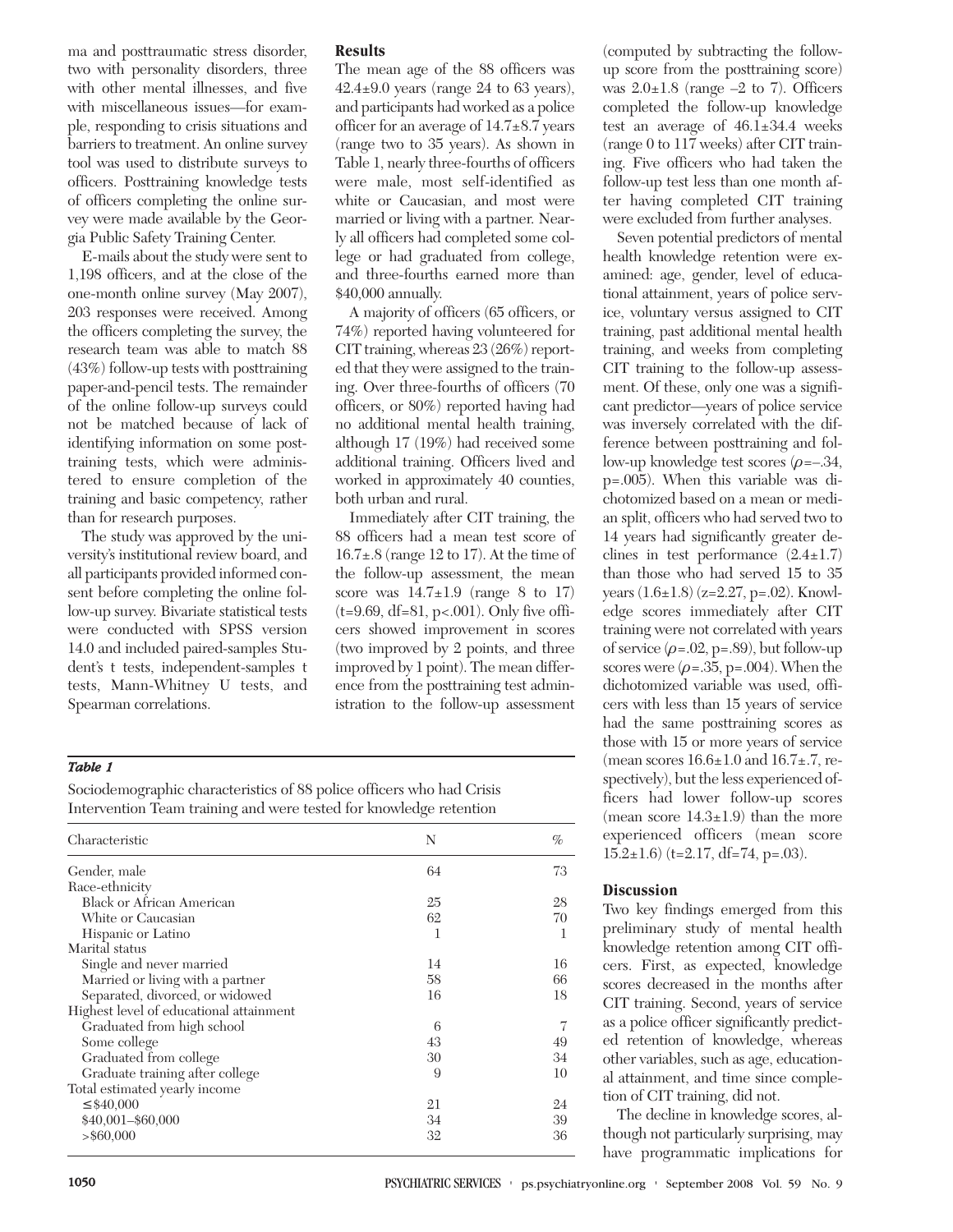ma and posttraumatic stress disorder, two with personality disorders, three with other mental illnesses, and five with miscellaneous issues—for example, responding to crisis situations and barriers to treatment. An online survey tool was used to distribute surveys to officers. Posttraining knowledge tests of officers completing the online survey were made available by the Georgia Public Safety Training Center.

E-mails about the study were sent to 1,198 officers, and at the close of the one-month online survey (May 2007), 203 responses were received. Among the officers completing the survey, the research team was able to match 88 (43%) follow-up tests with posttraining paper-and-pencil tests. The remainder of the online follow-up surveys could not be matched because of lack of identifying information on some posttraining tests, which were administered to ensure completion of the training and basic competency, rather than for research purposes.

The study was approved by the university's institutional review board, and all participants provided informed consent before completing the online follow-up survey. Bivariate statistical tests were conducted with SPSS version 14.0 and included paired-samples Student's t tests, independent-samples t tests, Mann-Whitney U tests, and Spearman correlations.

# **Results**

The mean age of the 88 officers was  $42.4\pm9.0$  years (range 24 to 63 years), and participants had worked as a police officer for an average of 14.7±8.7 years (range two to 35 years). As shown in Table 1, nearly three-fourths of officers were male, most self-identified as white or Caucasian, and most were married or living with a partner. Nearly all officers had completed some college or had graduated from college, and three-fourths earned more than \$40,000 annually.

A majority of officers (65 officers, or 74%) reported having volunteered for CIT training, whereas 23 (26%) reported that they were assigned to the training. Over three-fourths of officers (70 officers, or 80%) reported having had no additional mental health training, although 17 (19%) had received some additional training. Officers lived and worked in approximately 40 counties, both urban and rural.

Immediately after CIT training, the 88 officers had a mean test score of 16.7±.8 (range 12 to 17). At the time of the follow-up assessment, the mean score was  $14.7\pm1.9$  (range 8 to 17) (t=9.69, df=81, p<.001). Only five officers showed improvement in scores (two improved by 2 points, and three improved by 1 point). The mean difference from the posttraining test administration to the follow-up assessment

# *Table 1*

Sociodemographic characteristics of 88 police officers who had Crisis Intervention Team training and were tested for knowledge retention

| Characteristic                          | N  | $\%$ |
|-----------------------------------------|----|------|
| Gender, male                            | 64 | 73   |
| Race-ethnicity                          |    |      |
| <b>Black or African American</b>        | 25 | 28   |
| White or Caucasian                      | 62 | 70   |
| Hispanic or Latino                      | 1  | 1    |
| Marital status                          |    |      |
| Single and never married                | 14 | 16   |
| Married or living with a partner        | 58 | 66   |
| Separated, divorced, or widowed         | 16 | 18   |
| Highest level of educational attainment |    |      |
| Graduated from high school              | 6  | 7    |
| Some college                            | 43 | 49   |
| Graduated from college                  | 30 | 34   |
| Graduate training after college         | 9  | 10   |
| Total estimated yearly income           |    |      |
| $\leq$ \$40,000                         | 21 | 24   |
| \$40,001-\$60,000                       | 34 | 39   |
| $>$ \$60,000                            | 32 | 36   |

(computed by subtracting the followup score from the posttraining score) was  $2.0\pm1.8$  (range  $-2$  to 7). Officers completed the follow-up knowledge test an average of 46.1±34.4 weeks (range 0 to 117 weeks) after CIT training. Five officers who had taken the follow-up test less than one month after having completed CIT training were excluded from further analyses.

Seven potential predictors of mental health knowledge retention were examined: age, gender, level of educational attainment, years of police service, voluntary versus assigned to CIT training, past additional mental health training, and weeks from completing CIT training to the follow-up assessment. Of these, only one was a significant predictor—years of police service was inversely correlated with the difference between posttraining and follow-up knowledge test scores  $(\rho = -0.34,$ p=.005). When this variable was dichotomized based on a mean or median split, officers who had served two to 14 years had significantly greater declines in test performance  $(2.4 \pm 1.7)$ than those who had served 15 to 35 years (1.6±1.8) (z=2.27, p=.02). Knowledge scores immediately after CIT training were not correlated with years of service  $(\rho = .02, p = .89)$ , but follow-up scores were  $(\rho = .35, p = .004)$ . When the dichotomized variable was used, officers with less than 15 years of service had the same posttraining scores as those with 15 or more years of service (mean scores  $16.6\pm1.0$  and  $16.7\pm.7$ , respectively), but the less experienced officers had lower follow-up scores (mean score  $14.3 \pm 1.9$ ) than the more experienced officers (mean score  $15.2 \pm 1.6$ ) (t=2.17, df=74, p=.03).

# **Discussion**

Two key findings emerged from this preliminary study of mental health knowledge retention among CIT officers. First, as expected, knowledge scores decreased in the months after CIT training. Second, years of service as a police officer significantly predicted retention of knowledge, whereas other variables, such as age, educational attainment, and time since completion of CIT training, did not.

The decline in knowledge scores, although not particularly surprising, may have programmatic implications for